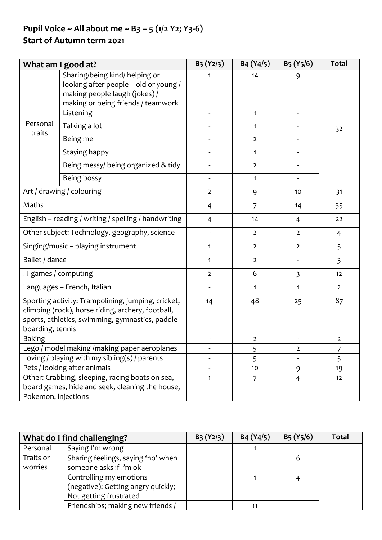## **Pupil Voice ~ All about me ~ B3 – 5 (1/2 Y2; Y3-6)**

## **Start of Autumn term 2021**

| What am I good at?                                                                                                                                                             |                                                                                                                                                | $B_3(Y_2/3)$   | B4 (Y4/5)      | $B_5(Y_5/6)$                 | <b>Total</b>   |
|--------------------------------------------------------------------------------------------------------------------------------------------------------------------------------|------------------------------------------------------------------------------------------------------------------------------------------------|----------------|----------------|------------------------------|----------------|
|                                                                                                                                                                                | Sharing/being kind/ helping or<br>looking after people - old or young /<br>making people laugh (jokes) /<br>making or being friends / teamwork | 1              | 14             | 9                            |                |
|                                                                                                                                                                                | Listening                                                                                                                                      |                | $\mathbf{1}$   | $\qquad \qquad \blacksquare$ |                |
| Personal                                                                                                                                                                       | Talking a lot                                                                                                                                  |                | $\mathbf{1}$   |                              | 32             |
| traits                                                                                                                                                                         | Being me                                                                                                                                       |                | $\overline{2}$ |                              |                |
|                                                                                                                                                                                | Staying happy                                                                                                                                  |                | $\mathbf{1}$   |                              |                |
|                                                                                                                                                                                | Being messy/ being organized & tidy                                                                                                            |                | $\overline{2}$ |                              |                |
|                                                                                                                                                                                | Being bossy                                                                                                                                    |                | 1              |                              |                |
|                                                                                                                                                                                | Art / drawing / colouring                                                                                                                      | $\overline{2}$ | 9              | 10                           | 31             |
| Maths                                                                                                                                                                          |                                                                                                                                                | 4              | $\overline{7}$ | 14                           | 35             |
| English - reading / writing / spelling / handwriting                                                                                                                           |                                                                                                                                                | $\overline{4}$ | 14             | 4                            | 22             |
| Other subject: Technology, geography, science                                                                                                                                  |                                                                                                                                                |                | $\overline{2}$ | $\overline{2}$               | $\overline{4}$ |
| Singing/music - playing instrument                                                                                                                                             |                                                                                                                                                | $\mathbf{1}$   | $\overline{2}$ | $\overline{2}$               | 5              |
| Ballet / dance                                                                                                                                                                 |                                                                                                                                                | $\mathbf{1}$   | $\overline{2}$ | $\qquad \qquad \blacksquare$ | $\overline{3}$ |
| IT games / computing                                                                                                                                                           |                                                                                                                                                | $\overline{2}$ | 6              | $\overline{\mathbf{3}}$      | 12             |
|                                                                                                                                                                                | Languages - French, Italian                                                                                                                    |                | $\mathbf{1}$   | $\mathbf{1}$                 | $\overline{2}$ |
| Sporting activity: Trampolining, jumping, cricket,<br>climbing (rock), horse riding, archery, football,<br>sports, athletics, swimming, gymnastics, paddle<br>boarding, tennis |                                                                                                                                                | 14             | 48             | 25                           | 87             |
| <b>Baking</b>                                                                                                                                                                  |                                                                                                                                                |                | $\overline{2}$ |                              | $\overline{2}$ |
| Lego / model making /making paper aeroplanes                                                                                                                                   |                                                                                                                                                |                | 5              | $\overline{2}$               | 7              |
| Loving / playing with my sibling(s) / parents                                                                                                                                  |                                                                                                                                                |                | 5              |                              | 5              |
| Pets / looking after animals                                                                                                                                                   |                                                                                                                                                |                | 10             | 9                            | 19             |
| Pokemon, injections                                                                                                                                                            | Other: Crabbing, sleeping, racing boats on sea,<br>board games, hide and seek, cleaning the house,                                             | $\mathbf{1}$   | 7              | $\overline{4}$               | 12             |

|           | What do I find challenging?        | $B_3(Y_2/3)$ | B4 (Y4/5) | $B_5(Y_5/6)$ | Total |
|-----------|------------------------------------|--------------|-----------|--------------|-------|
| Personal  | Saying I'm wrong                   |              |           |              |       |
| Traits or | Sharing feelings, saying 'no' when |              |           | 6            |       |
| worries   | someone asks if I'm ok             |              |           |              |       |
|           | Controlling my emotions            |              |           |              |       |
|           | (negative); Getting angry quickly; |              |           |              |       |
|           | Not getting frustrated             |              |           |              |       |
|           | Friendships; making new friends /  |              |           |              |       |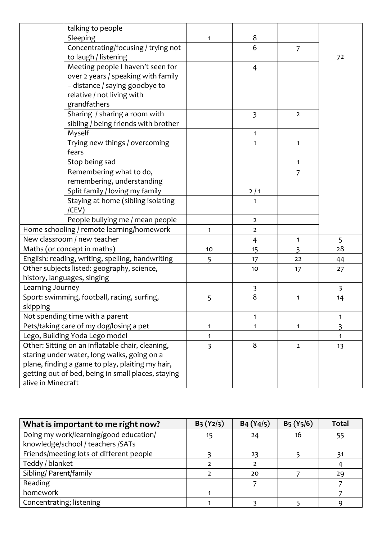|                    | talking to people                                  |                |                         |                |                   |
|--------------------|----------------------------------------------------|----------------|-------------------------|----------------|-------------------|
|                    | Sleeping                                           | $\mathbf{1}$   | 8                       |                |                   |
|                    | Concentrating/focusing / trying not                |                | 6                       | $\overline{7}$ |                   |
|                    | to laugh / listening                               |                |                         |                | 72                |
|                    | Meeting people I haven't seen for                  |                | $\overline{4}$          |                |                   |
|                    | over 2 years / speaking with family                |                |                         |                |                   |
|                    | - distance / saying goodbye to                     |                |                         |                |                   |
|                    | relative / not living with                         |                |                         |                |                   |
|                    | grandfathers                                       |                |                         |                |                   |
|                    | Sharing / sharing a room with                      |                | $\overline{\mathbf{3}}$ | $\overline{2}$ |                   |
|                    | sibling / being friends with brother               |                |                         |                |                   |
|                    | Myself                                             |                | 1                       |                |                   |
|                    | Trying new things / overcoming                     |                | $\mathbf{1}$            | 1              |                   |
|                    | fears                                              |                |                         |                |                   |
|                    | Stop being sad                                     |                |                         | 1              |                   |
|                    | Remembering what to do,                            |                |                         | $\overline{7}$ |                   |
|                    | remembering, understanding                         |                |                         |                |                   |
|                    | Split family / loving my family                    |                | $2/1$                   |                |                   |
|                    | Staying at home (sibling isolating                 |                | 1                       |                |                   |
|                    | /CEV)                                              |                |                         |                |                   |
|                    | People bullying me / mean people                   |                | $\overline{2}$          |                |                   |
|                    | Home schooling / remote learning/homework          | $\mathbf{1}$   | $\mathbf 2$             |                |                   |
|                    | New classroom / new teacher                        |                | $\overline{4}$          | 1              | 5                 |
|                    | Maths (or concept in maths)                        | 10             | 15                      | $\overline{3}$ | 28                |
|                    | English: reading, writing, spelling, handwriting   | 5              | 17                      | 22             | 44                |
|                    | Other subjects listed: geography, science,         |                | 10                      | 17             | 27                |
|                    | history, languages, singing                        |                |                         |                |                   |
| Learning Journey   |                                                    |                | 3<br>8                  |                | 3                 |
| skipping           | Sport: swimming, football, racing, surfing,        | 5              |                         | 1              | 14                |
|                    | Not spending time with a parent                    |                | 1                       |                | 1                 |
|                    | Pets/taking care of my dog/losing a pet            | $\mathbf{1}$   | 1                       | $\mathbf{1}$   |                   |
|                    | Lego, Building Yoda Lego model                     | 1              |                         |                | 3<br>$\mathbf{1}$ |
|                    | Other: Sitting on an inflatable chair, cleaning,   | $\overline{3}$ | 8                       | $\overline{2}$ | 13                |
|                    | staring under water, long walks, going on a        |                |                         |                |                   |
|                    | plane, finding a game to play, plaiting my hair,   |                |                         |                |                   |
|                    | getting out of bed, being in small places, staying |                |                         |                |                   |
| alive in Minecraft |                                                    |                |                         |                |                   |

| What is important to me right now?       | $B_3(Y_2/3)$ | B4 (Y4/5) | $B_5(Y_5/6)$ | <b>Total</b> |
|------------------------------------------|--------------|-----------|--------------|--------------|
| Doing my work/learning/good education/   | 15           | 24        | 16           | 55           |
| knowledge/school / teachers /SATs        |              |           |              |              |
| Friends/meeting lots of different people |              | 23        |              |              |
| Teddy / blanket                          |              |           |              |              |
| Sibling/ Parent/family                   |              | 20        |              | 29           |
| Reading                                  |              |           |              |              |
| homework                                 |              |           |              |              |
| Concentrating; listening                 |              |           |              |              |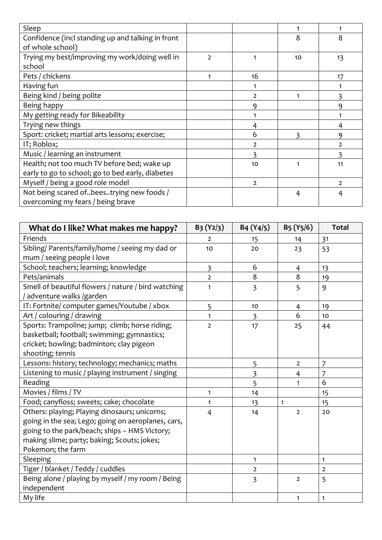| Sleep                                             |                |               |    |               |
|---------------------------------------------------|----------------|---------------|----|---------------|
| Confidence (incl standing up and talking in front |                |               | 8  | 8             |
| of whole school)                                  |                |               |    |               |
| Trying my best/improving my work/doing well in    | $\overline{2}$ |               | 10 | 13            |
| school                                            |                |               |    |               |
| Pets / chickens                                   |                | 16            |    | 17            |
| Having fun                                        |                |               |    |               |
| Being kind / being polite                         |                | 2             |    |               |
| Being happy                                       |                | 9             |    | 9             |
| My getting ready for Bikeability                  |                |               |    |               |
| Trying new things                                 |                |               |    | 4             |
| Sport: cricket; martial arts lessons; exercise;   |                | 6             | ξ  | 9             |
| IT; Roblox;                                       |                |               |    | $\mathcal{P}$ |
| Music / learning an instrument                    |                | ξ             |    |               |
| Health; not too much TV before bed; wake up       |                | 10            |    | 11            |
| early to go to school; go to bed early, diabetes  |                |               |    |               |
| Myself / being a good role model                  |                | $\mathcal{L}$ |    | $\mathcal{L}$ |
| Not being scared ofbeestrying new foods /         |                |               | 4  | 4             |
| overcoming my fears / being brave                 |                |               |    |               |

| What do I like? What makes me happy?                | $B_3(Y_2/3)$            | B4 (Y4/5)               | B <sub>5</sub> (Y <sub>5</sub> /6) | <b>Total</b>   |
|-----------------------------------------------------|-------------------------|-------------------------|------------------------------------|----------------|
| Friends                                             | $\overline{2}$          | 15                      | 14                                 | 31             |
| Sibling/ Parents/family/home / seeing my dad or     | 10                      | 20                      | 23                                 | 53             |
| mum / seeing people I love                          |                         |                         |                                    |                |
| School; teachers; learning; knowledge               | $\overline{\mathbf{3}}$ | 6                       | 4                                  | 13             |
| Pets/animals                                        | $\overline{2}$          | 8                       | 8                                  | 19             |
| Smell of beautiful flowers / nature / bird watching | $\mathbf{1}$            | 3                       | 5                                  | 9              |
| adventure walks /garden                             |                         |                         |                                    |                |
| IT: Fortnite/ computer games/Youtube / xbox         | 5                       | 10                      | 4                                  | 19             |
| Art / colouring / drawing                           | 1                       | 3                       | 6                                  | 10             |
| Sports: Trampoline; jump; climb; horse riding;      | $\overline{2}$          | 17                      | 25                                 | 44             |
| basketball; football; swimming; gymnastics;         |                         |                         |                                    |                |
| cricket; bowling; badminton; clay pigeon            |                         |                         |                                    |                |
| shooting; tennis                                    |                         |                         |                                    |                |
| Lessons: history; technology; mechanics; maths      |                         | 5                       | $\overline{2}$                     | 7              |
| Listening to music / playing instrument / singing   |                         | $\overline{\mathbf{3}}$ | 4                                  | 7              |
| Reading                                             |                         | 5                       | $\mathbf{1}$                       | 6              |
| Movies / films / TV                                 | 1                       | 14                      |                                    | 15             |
| Food; canyfloss; sweets; cake; chocolate            | 1                       | 13                      | 1                                  | 15             |
| Others: playing; Playing dinosaurs; unicorns;       | $\overline{4}$          | 14                      | $\overline{2}$                     | 20             |
| going in the sea; Lego; going on aeroplanes, cars,  |                         |                         |                                    |                |
| going to the park/beach; ships - HMS Victory;       |                         |                         |                                    |                |
| making slime; party; baking; Scouts; jokes;         |                         |                         |                                    |                |
| Pokemon; the farm                                   |                         |                         |                                    |                |
| Sleeping                                            |                         | $\mathbf{1}$            |                                    | 1              |
| Tiger / blanket / Teddy / cuddles                   |                         | $\overline{2}$          |                                    | $\overline{2}$ |
| Being alone / playing by myself / my room / Being   |                         | $\overline{3}$          | $\overline{2}$                     | 5              |
| independent                                         |                         |                         |                                    |                |
| My life                                             |                         |                         | 1                                  | $\mathbf{1}$   |